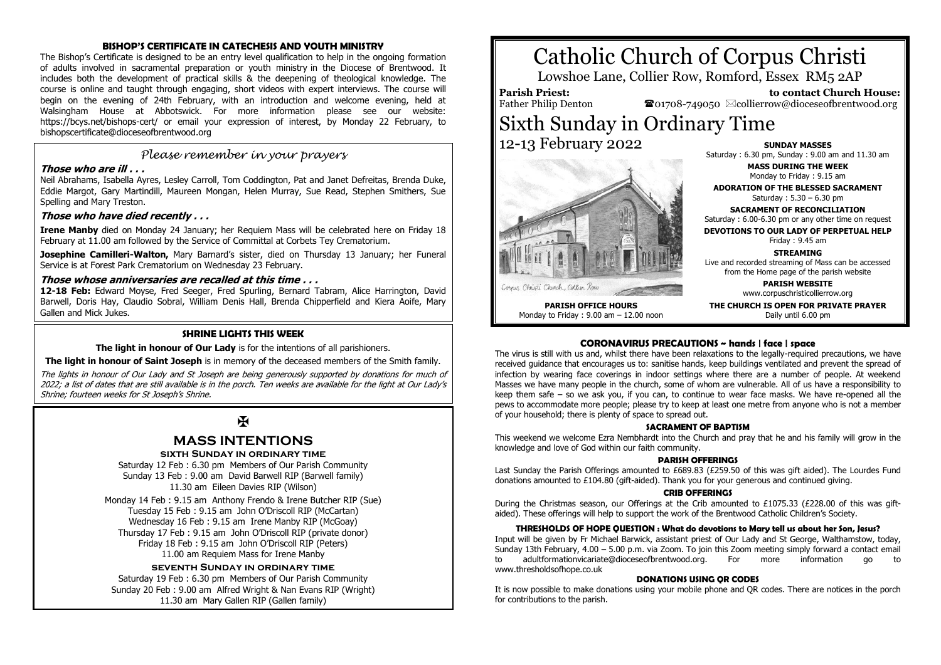#### **BISHOP'S CERTIFICATE IN CATECHESIS AND YOUTH MINISTRY**

The Bishop's Certificate is designed to be an entry level qualification to help in the ongoing formation of adults involved in sacramental preparation or youth ministry in the Diocese of Brentwood. It includes both the development of practical skills & the deepening of theological knowledge. The course is online and taught through engaging, short videos with expert interviews. The course will begin on the evening of 24th February, with an introduction and welcome evening, held at Walsingham House at Abbotswick. For more information please see our website: https://bcys.net/bishops-cert/ or email your expression of interest, by Monday 22 February, to bishopscertificate@dioceseofbrentwood.org

## *Please remember in your prayers*

#### **Those who are ill . . .**

Neil Abrahams, Isabella Ayres, Lesley Carroll, Tom Coddington, Pat and Janet Defreitas, Brenda Duke, Eddie Margot, Gary Martindill, Maureen Mongan, Helen Murray, Sue Read, Stephen Smithers, Sue Spelling and Mary Treston.

#### **Those who have died recently . . .**

**Irene Manby** died on Monday 24 January; her Requiem Mass will be celebrated here on Friday 18 February at 11.00 am followed by the Service of Committal at Corbets Tey Crematorium.

**Josephine Camilleri-Walton,** Mary Barnard's sister, died on Thursday 13 January; her Funeral Service is at Forest Park Crematorium on Wednesday 23 February.

#### **Those whose anniversaries are recalled at this time . . .**

**12-18 Feb:** Edward Moyse, Fred Seeger, Fred Spurling, Bernard Tabram, Alice Harrington, David Barwell, Doris Hay, Claudio Sobral, William Denis Hall, Brenda Chipperfield and Kiera Aoife, Mary Gallen and Mick Jukes.

#### **SHRINE LIGHTS THIS WEEK**

**The light in honour of Our Lady** is for the intentions of all parishioners.

**The light in honour of Saint Joseph** is in memory of the deceased members of the Smith family.

The lights in honour of Our Lady and St Joseph are being generously supported by donations for much of 2022; a list of dates that are still available is in the porch. Ten weeks are available for the light at Our Lady's Shrine; fourteen weeks for St Joseph's Shrine.

# Ж

# **MASS INTENTIONS**

#### **sixth Sunday in ordinary time**

Saturday 12 Feb : 6.30 pm Members of Our Parish Community Sunday 13 Feb : 9.00 am David Barwell RIP (Barwell family) 11.30 am Eileen Davies RIP (Wilson)

Monday 14 Feb : 9.15 am Anthony Frendo & Irene Butcher RIP (Sue) Tuesday 15 Feb : 9.15 am John O'Driscoll RIP (McCartan) Wednesday 16 Feb : 9.15 am Irene Manby RIP (McGoay) Thursday 17 Feb : 9.15 am John O'Driscoll RIP (private donor) Friday 18 Feb : 9.15 am John O'Driscoll RIP (Peters) 11.00 am Requiem Mass for Irene Manby

#### **seventh Sunday in ordinary time**

Saturday 19 Feb : 6.30 pm Members of Our Parish Community Sunday 20 Feb : 9.00 am Alfred Wright & Nan Evans RIP (Wright) 11.30 am Mary Gallen RIP (Gallen family)

# Catholic Church of Corpus Christi

Lowshoe Lane, Collier Row, Romford, Essex RM5 2AP

### **Parish Priest:**

Father Philip Denton

 **to contact Church House:**  $\mathbf{\Omega}_{01708\text{-}749050}$   $\boxtimes$  collierrow@dioceseofbrentwood.org

# Sixth Sunday in Ordinary Time 12-13 February 2022



**SUNDAY MASSES** Saturday : 6.30 pm, Sunday : 9.00 am and 11.30 am

> **MASS DURING THE WEEK** Monday to Friday : 9.15 am

**ADORATION OF THE BLESSED SACRAMENT** Saturday : 5.30 – 6.30 pm

**SACRAMENT OF RECONCILIATION** Saturday : 6.00-6.30 pm or any other time on request

**DEVOTIONS TO OUR LADY OF PERPETUAL HELP** Friday : 9.45 am

**STREAMING**

Live and recorded streaming of Mass can be accessed from the Home page of the parish website

> **PARISH WEBSITE** www.corpuschristicollierrow.org

**THE CHURCH IS OPEN FOR PRIVATE PRAYER** Daily until 6.00 pm

**PARISH OFFICE HOURS** Monday to Friday : 9.00 am – 12.00 noon

**CORONAVIRUS PRECAUTIONS ~ hands | face | space** The virus is still with us and, whilst there have been relaxations to the legally-required precautions, we have received guidance that encourages us to: sanitise hands, keep buildings ventilated and prevent the spread of infection by wearing face coverings in indoor settings where there are a number of people. At weekend Masses we have many people in the church, some of whom are vulnerable. All of us have a responsibility to keep them safe – so we ask you, if you can, to continue to wear face masks. We have re-opened all the pews to accommodate more people; please try to keep at least one metre from anyone who is not a member of your household; there is plenty of space to spread out.

#### **SACRAMENT OF BAPTISM**

This weekend we welcome Ezra Nembhardt into the Church and pray that he and his family will grow in the knowledge and love of God within our faith community.

#### **PARISH OFFERINGS**

Last Sunday the Parish Offerings amounted to £689.83 (£259.50 of this was gift aided). The Lourdes Fund donations amounted to £104.80 (gift-aided). Thank you for your generous and continued giving.

#### **CRIB OFFERINGS**

During the Christmas season, our Offerings at the Crib amounted to £1075.33 (£228.00 of this was giftaided). These offerings will help to support the work of the Brentwood Catholic Children's Society.

#### **THRESHOLDS OF HOPE QUESTION : What do devotions to Mary tell us about her Son, Jesus?**

Input will be given by Fr Michael Barwick, assistant priest of Our Lady and St George, Walthamstow, today, Sunday 13th February, 4.00 – 5.00 p.m. via Zoom. To join this Zoom meeting simply forward a contact email to adultformationvicariate@dioceseofbrentwood.org. For more information go to www.thresholdsofhope.co.uk

#### **DONATIONS USING QR CODES**

It is now possible to make donations using your mobile phone and QR codes. There are notices in the porch for contributions to the parish.